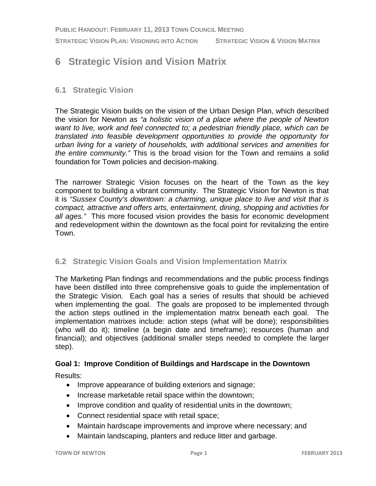**PUBLIC HANDOUT: FEBRUARY 11, 2013 TOWN COUNCIL MEETING**

**STRATEGIC VISION PLAN: VISIONING INTO ACTION STRATEGIC VISION & VISION MATRIX**

# **6 Strategic Vision and Vision Matrix**

### **6.1 Strategic Vision**

The Strategic Vision builds on the vision of the Urban Design Plan, which described the vision for Newton as *"a holistic vision of a place where the people of Newton want to live, work and feel connected to; a pedestrian friendly place, which can be translated into feasible development opportunities to provide the opportunity for urban living for a variety of households, with additional services and amenities for the entire community."* This is the broad vision for the Town and remains a solid foundation for Town policies and decision-making.

The narrower Strategic Vision focuses on the heart of the Town as the key component to building a vibrant community. The Strategic Vision for Newton is that it is *"Sussex County's downtown: a charming, unique place to live and visit that is compact, attractive and offers arts, entertainment, dining, shopping and activities for all ages."* This more focused vision provides the basis for economic development and redevelopment within the downtown as the focal point for revitalizing the entire Town.

#### **6.2 Strategic Vision Goals and Vision Implementation Matrix**

The Marketing Plan findings and recommendations and the public process findings have been distilled into three comprehensive goals to guide the implementation of the Strategic Vision. Each goal has a series of results that should be achieved when implementing the goal. The goals are proposed to be implemented through the action steps outlined in the implementation matrix beneath each goal. The implementation matrixes include: action steps (what will be done); responsibilities (who will do it); timeline (a begin date and timeframe); resources (human and financial); and objectives (additional smaller steps needed to complete the larger step).

#### **Goal 1: Improve Condition of Buildings and Hardscape in the Downtown**

Results:

- Improve appearance of building exteriors and signage;
- Increase marketable retail space within the downtown;
- Improve condition and quality of residential units in the downtown;
- Connect residential space with retail space;
- Maintain hardscape improvements and improve where necessary; and
- Maintain landscaping, planters and reduce litter and garbage.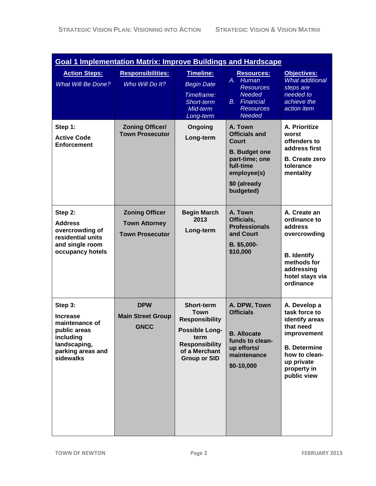| <b>Goal 1 Implementation Matrix: Improve Buildings and Hardscape</b>                                                        |                                                                         |                                                                                                                                                             |                                                                                                                                             |                                                                                                                                                                 |  |
|-----------------------------------------------------------------------------------------------------------------------------|-------------------------------------------------------------------------|-------------------------------------------------------------------------------------------------------------------------------------------------------------|---------------------------------------------------------------------------------------------------------------------------------------------|-----------------------------------------------------------------------------------------------------------------------------------------------------------------|--|
| <b>Action Steps:</b><br><b>What Will Be Done?</b>                                                                           | <b>Responsibilities:</b><br>Who Will Do It?                             | Timeline:<br><b>Begin Date</b><br>Timeframe:<br>Short-term<br>Mid-term<br>Long-term                                                                         | <b>Resources:</b><br><b>Human</b><br>A. .<br><b>Resources</b><br><b>Needed</b><br>Financial<br>В.<br><b>Resources</b><br>Needed             | Objectives:<br><b>What additional</b><br>steps are<br>needed to<br>achieve the<br>action item                                                                   |  |
| Step 1:<br><b>Active Code</b><br><b>Enforcement</b>                                                                         | <b>Zoning Officer/</b><br><b>Town Prosecutor</b>                        | Ongoing<br>Long-term                                                                                                                                        | A. Town<br><b>Officials and</b><br>Court<br><b>B.</b> Budget one<br>part-time; one<br>full-time<br>employee(s)<br>\$0 (already<br>budgeted) | A. Prioritize<br>worst<br>offenders to<br>address first<br><b>B.</b> Create zero<br>tolerance<br>mentality                                                      |  |
| Step 2:<br><b>Address</b><br>overcrowding of<br>residential units<br>and single room<br>occupancy hotels                    | <b>Zoning Officer</b><br><b>Town Attorney</b><br><b>Town Prosecutor</b> | <b>Begin March</b><br>2013<br>Long-term                                                                                                                     | A. Town<br>Officials,<br><b>Professionals</b><br>and Court<br>B. \$5,000-<br>\$10,000                                                       | A. Create an<br>ordinance to<br>address<br>overcrowding<br><b>B.</b> Identify<br>methods for<br>addressing<br>hotel stays via<br>ordinance                      |  |
| Step 3:<br><b>Increase</b><br>maintenance of<br>public areas<br>including<br>landscaping,<br>parking areas and<br>sidewalks | <b>DPW</b><br><b>Main Street Group</b><br><b>GNCC</b>                   | <b>Short-term</b><br><b>Town</b><br><b>Responsibility</b><br><b>Possible Long-</b><br>term<br><b>Responsibility</b><br>of a Merchant<br><b>Group or SID</b> | A. DPW, Town<br><b>Officials</b><br><b>B.</b> Allocate<br>funds to clean-<br>up efforts/<br>maintenance<br>\$0-10,000                       | A. Develop a<br>task force to<br>identify areas<br>that need<br>improvement<br><b>B.</b> Determine<br>how to clean-<br>up private<br>property in<br>public view |  |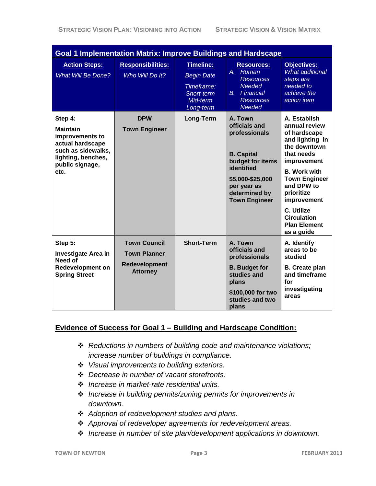| <b>Goal 1 Implementation Matrix: Improve Buildings and Hardscape</b>                                                                     |                                                                                |                                                                                     |                                                                                                                                                                              |                                                                                                                                                                                                                                                                                  |  |
|------------------------------------------------------------------------------------------------------------------------------------------|--------------------------------------------------------------------------------|-------------------------------------------------------------------------------------|------------------------------------------------------------------------------------------------------------------------------------------------------------------------------|----------------------------------------------------------------------------------------------------------------------------------------------------------------------------------------------------------------------------------------------------------------------------------|--|
| <b>Action Steps:</b><br><b>What Will Be Done?</b>                                                                                        | <b>Responsibilities:</b><br>Who Will Do It?                                    | Timeline:<br><b>Begin Date</b><br>Timeframe:<br>Short-term<br>Mid-term<br>Long-term | <b>Resources:</b><br>A. Human<br><b>Resources</b><br><b>Needed</b><br><b>B.</b> Financial<br><b>Resources</b><br><b>Needed</b>                                               | <b>Objectives:</b><br><b>What additional</b><br>steps are<br>needed to<br>achieve the<br>action item                                                                                                                                                                             |  |
| Step 4:<br><b>Maintain</b><br>improvements to<br>actual hardscape<br>such as sidewalks,<br>lighting, benches,<br>public signage,<br>etc. | <b>DPW</b><br><b>Town Engineer</b>                                             | Long-Term                                                                           | A. Town<br>officials and<br>professionals<br><b>B.</b> Capital<br>budget for items<br>identified<br>\$5,000-\$25,000<br>per year as<br>determined by<br><b>Town Engineer</b> | A. Establish<br>annual review<br>of hardscape<br>and lighting in<br>the downtown<br>that needs<br>improvement<br><b>B.</b> Work with<br><b>Town Engineer</b><br>and DPW to<br>prioritize<br>improvement<br>C. Utilize<br><b>Circulation</b><br><b>Plan Element</b><br>as a guide |  |
| Step 5:<br><b>Investigate Area in</b><br>Need of<br><b>Redevelopment on</b><br><b>Spring Street</b>                                      | <b>Town Council</b><br><b>Town Planner</b><br>Redevelopment<br><b>Attorney</b> | <b>Short-Term</b>                                                                   | A. Town<br>officials and<br>professionals<br><b>B.</b> Budget for<br>studies and<br>plans<br>\$100,000 for two<br>studies and two<br>plans                                   | A. Identify<br>areas to be<br>studied<br><b>B.</b> Create plan<br>and timeframe<br>for<br>investigating<br>areas                                                                                                                                                                 |  |

## **Evidence of Success for Goal 1 – Building and Hardscape Condition:**

- *Reductions in numbers of building code and maintenance violations; increase number of buildings in compliance.*
- *Visual improvements to building exteriors.*
- *Decrease in number of vacant storefronts.*
- *Increase in market-rate residential units.*
- *Increase in building permits/zoning permits for improvements in downtown.*
- *Adoption of redevelopment studies and plans.*
- *Approval of redeveloper agreements for redevelopment areas.*
- *Increase in number of site plan/development applications in downtown.*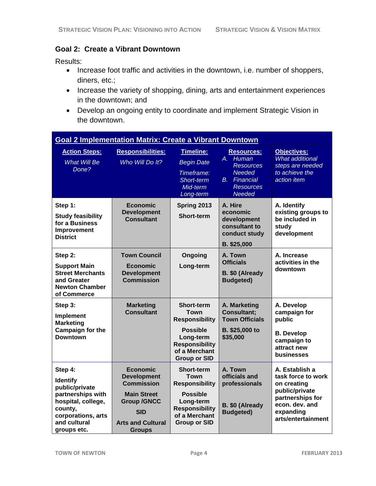## **Goal 2: Create a Vibrant Downtown**

Results:

- Increase foot traffic and activities in the downtown, i.e. number of shoppers, diners, etc.;
- Increase the variety of shopping, dining, arts and entertainment experiences in the downtown; and
- Develop an ongoing entity to coordinate and implement Strategic Vision in the downtown.

| <b>Goal 2 Implementation Matrix: Create a Vibrant Downtown</b>                                                                                          |                                                                                                                                                                   |                                                                                                                                                            |                                                                                                                                   |                                                                                                                                                |  |
|---------------------------------------------------------------------------------------------------------------------------------------------------------|-------------------------------------------------------------------------------------------------------------------------------------------------------------------|------------------------------------------------------------------------------------------------------------------------------------------------------------|-----------------------------------------------------------------------------------------------------------------------------------|------------------------------------------------------------------------------------------------------------------------------------------------|--|
| <b>Action Steps:</b><br><b>What Will Be</b><br>Done?                                                                                                    | <b>Responsibilities:</b><br>Who Will Do It?                                                                                                                       | Timeline:<br><b>Begin Date</b><br>Timeframe:<br>Short-term<br>Mid-term<br>Long-term                                                                        | <b>Resources:</b><br>A. Human<br><b>Resources</b><br><b>Needed</b><br><b>B.</b><br>Financial<br><b>Resources</b><br><b>Needed</b> | <b>Objectives:</b><br><b>What additional</b><br>steps are needed<br>to achieve the<br>action item                                              |  |
| Step 1:<br><b>Study feasibility</b><br>for a Business<br>Improvement<br><b>District</b>                                                                 | <b>Economic</b><br><b>Development</b><br><b>Consultant</b>                                                                                                        | Spring 2013<br>Short-term                                                                                                                                  | A. Hire<br>economic<br>development<br>consultant to<br>conduct study<br>B. \$25,000                                               | A. Identify<br>existing groups to<br>be included in<br>study<br>development                                                                    |  |
| Step 2:<br><b>Support Main</b><br><b>Street Merchants</b><br>and Greater<br><b>Newton Chamber</b><br>of Commerce                                        | <b>Town Council</b><br><b>Economic</b><br><b>Development</b><br><b>Commission</b>                                                                                 | Ongoing<br>Long-term                                                                                                                                       | A. Town<br><b>Officials</b><br>B. \$0 (Already<br><b>Budgeted)</b>                                                                | A. Increase<br>activities in the<br>downtown                                                                                                   |  |
| Step 3:<br><b>Implement</b><br><b>Marketing</b><br>Campaign for the<br><b>Downtown</b>                                                                  | <b>Marketing</b><br><b>Consultant</b>                                                                                                                             | Short-term<br><b>Town</b><br><b>Responsibility</b><br><b>Possible</b><br>Long-term<br><b>Responsibility</b><br>of a Merchant<br><b>Group or SID</b>        | A. Marketing<br><b>Consultant;</b><br><b>Town Officials</b><br>B. \$25,000 to<br>\$35,000                                         | A. Develop<br>campaign for<br>public<br><b>B.</b> Develop<br>campaign to<br>attract new<br>businesses                                          |  |
| Step 4:<br><b>Identify</b><br>public/private<br>partnerships with<br>hospital, college,<br>county,<br>corporations, arts<br>and cultural<br>groups etc. | <b>Economic</b><br><b>Development</b><br><b>Commission</b><br><b>Main Street</b><br><b>Group /GNCC</b><br><b>SID</b><br><b>Arts and Cultural</b><br><b>Groups</b> | <b>Short-term</b><br><b>Town</b><br><b>Responsibility</b><br><b>Possible</b><br>Long-term<br><b>Responsibility</b><br>of a Merchant<br><b>Group or SID</b> | A. Town<br>officials and<br>professionals<br>B. \$0 (Already<br><b>Budgeted)</b>                                                  | A. Establish a<br>task force to work<br>on creating<br>public/private<br>partnerships for<br>econ. dev. and<br>expanding<br>arts/entertainment |  |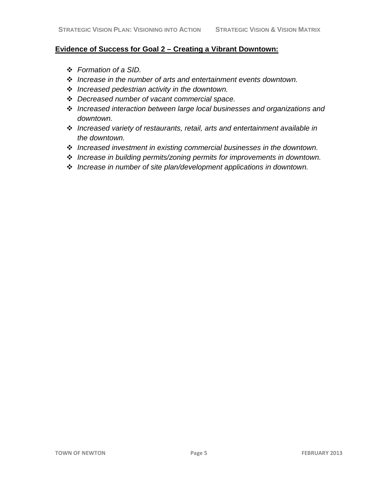#### **Evidence of Success for Goal 2 – Creating a Vibrant Downtown:**

- *Formation of a SID.*
- *Increase in the number of arts and entertainment events downtown.*
- *Increased pedestrian activity in the downtown.*
- *Decreased number of vacant commercial space.*
- *Increased interaction between large local businesses and organizations and downtown.*
- *Increased variety of restaurants, retail, arts and entertainment available in the downtown.*
- *Increased investment in existing commercial businesses in the downtown.*
- *Increase in building permits/zoning permits for improvements in downtown.*
- *Increase in number of site plan/development applications in downtown.*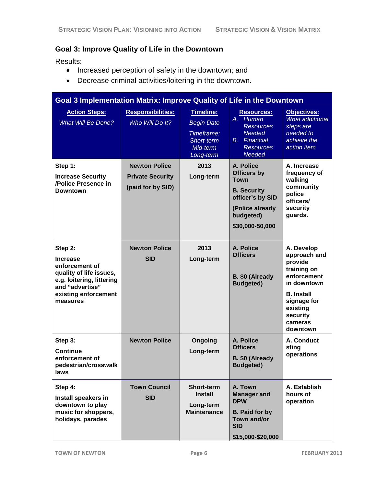## **Goal 3: Improve Quality of Life in the Downtown**

Results:

- Increased perception of safety in the downtown; and
- Decrease criminal activities/loitering in the downtown.

| Goal 3 Implementation Matrix: Improve Quality of Life in the Downtown                                                                                       |                                                                      |                                                                                     |                                                                                                                                             |                                                                                                                                                                       |  |
|-------------------------------------------------------------------------------------------------------------------------------------------------------------|----------------------------------------------------------------------|-------------------------------------------------------------------------------------|---------------------------------------------------------------------------------------------------------------------------------------------|-----------------------------------------------------------------------------------------------------------------------------------------------------------------------|--|
| <b>Action Steps:</b><br><b>What Will Be Done?</b>                                                                                                           | <b>Responsibilities:</b><br>Who Will Do It?                          | Timeline:<br><b>Begin Date</b><br>Timeframe:<br>Short-term<br>Mid-term<br>Long-term | <b>Resources:</b><br>A. Human<br><b>Resources</b><br><b>Needed</b><br><b>B.</b> Financial<br><b>Resources</b><br><b>Needed</b>              | Objectives:<br><b>What additional</b><br>steps are<br>needed to<br>achieve the<br>action item                                                                         |  |
| Step 1:<br><b>Increase Security</b><br>/Police Presence in<br><b>Downtown</b>                                                                               | <b>Newton Police</b><br><b>Private Security</b><br>(paid for by SID) | 2013<br>Long-term                                                                   | A. Police<br><b>Officers by</b><br><b>Town</b><br><b>B.</b> Security<br>officer's by SID<br>(Police already<br>budgeted)<br>\$30,000-50,000 | A. Increase<br>frequency of<br>walking<br>community<br>police<br>officers/<br>security<br>guards.                                                                     |  |
| Step 2:<br><b>Increase</b><br>enforcement of<br>quality of life issues,<br>e.g. loitering, littering<br>and "advertise"<br>existing enforcement<br>measures | <b>Newton Police</b><br><b>SID</b>                                   | 2013<br>Long-term                                                                   | A. Police<br><b>Officers</b><br>B. \$0 (Already<br><b>Budgeted)</b>                                                                         | A. Develop<br>approach and<br>provide<br>training on<br>enforcement<br>in downtown<br><b>B.</b> Install<br>signage for<br>existing<br>security<br>cameras<br>downtown |  |
| Step 3:<br><b>Continue</b><br>enforcement of<br>pedestrian/crosswalk<br>laws                                                                                | <b>Newton Police</b>                                                 | Ongoing<br>Long-term                                                                | A. Police<br><b>Officers</b><br>B. \$0 (Already<br><b>Budgeted)</b>                                                                         | A. Conduct<br>sting<br>operations                                                                                                                                     |  |
| Step 4:<br>Install speakers in<br>downtown to play<br>music for shoppers,<br>holidays, parades                                                              | <b>Town Council</b><br><b>SID</b>                                    | <b>Short-term</b><br><b>Install</b><br>Long-term<br><b>Maintenance</b>              | A. Town<br><b>Manager and</b><br><b>DPW</b><br><b>B.</b> Paid for by<br>Town and/or<br><b>SID</b><br>\$15,000-\$20,000                      | A. Establish<br>hours of<br>operation                                                                                                                                 |  |